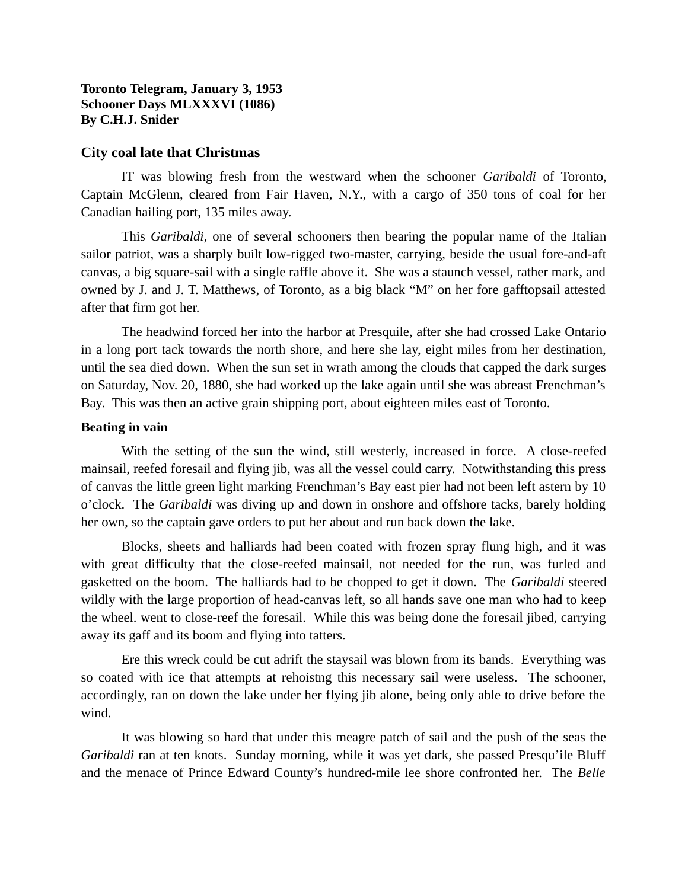## **Toronto Telegram, January 3, 1953 Schooner Days MLXXXVI (1086) By C.H.J. Snider**

## **City coal late that Christmas**

IT was blowing fresh from the westward when the schooner *Garibaldi* of Toronto, Captain McGlenn, cleared from Fair Haven, N.Y., with a cargo of 350 tons of coal for her Canadian hailing port, 135 miles away.

This *Garibaldi*, one of several schooners then bearing the popular name of the Italian sailor patriot, was a sharply built low-rigged two-master, carrying, beside the usual fore-and-aft canvas, a big square-sail with a single raffle above it. She was a staunch vessel, rather mark, and owned by J. and J. T. Matthews, of Toronto, as a big black "M" on her fore gafftopsail attested after that firm got her.

The headwind forced her into the harbor at Presquile, after she had crossed Lake Ontario in a long port tack towards the north shore, and here she lay, eight miles from her destination, until the sea died down. When the sun set in wrath among the clouds that capped the dark surges on Saturday, Nov. 20, 1880, she had worked up the lake again until she was abreast Frenchman's Bay. This was then an active grain shipping port, about eighteen miles east of Toronto.

#### **Beating in vain**

With the setting of the sun the wind, still westerly, increased in force. A close-reefed mainsail, reefed foresail and flying jib, was all the vessel could carry. Notwithstanding this press of canvas the little green light marking Frenchman's Bay east pier had not been left astern by 10 o'clock. The *Garibaldi* was diving up and down in onshore and offshore tacks, barely holding her own, so the captain gave orders to put her about and run back down the lake.

Blocks, sheets and halliards had been coated with frozen spray flung high, and it was with great difficulty that the close-reefed mainsail, not needed for the run, was furled and gasketted on the boom. The halliards had to be chopped to get it down. The *Garibaldi* steered wildly with the large proportion of head-canvas left, so all hands save one man who had to keep the wheel. went to close-reef the foresail. While this was being done the foresail jibed, carrying away its gaff and its boom and flying into tatters.

Ere this wreck could be cut adrift the staysail was blown from its bands. Everything was so coated with ice that attempts at rehoistng this necessary sail were useless. The schooner, accordingly, ran on down the lake under her flying jib alone, being only able to drive before the wind.

It was blowing so hard that under this meagre patch of sail and the push of the seas the *Garibaldi* ran at ten knots. Sunday morning, while it was yet dark, she passed Presqu'ile Bluff and the menace of Prince Edward County's hundred-mile lee shore confronted her. The *Belle*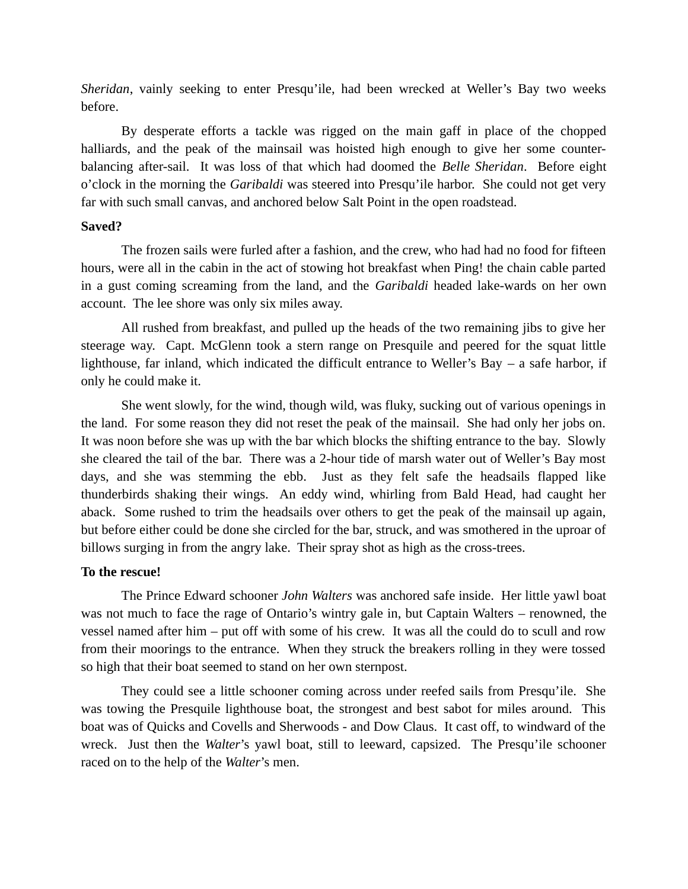*Sheridan*, vainly seeking to enter Presqu'ile, had been wrecked at Weller's Bay two weeks before.

By desperate efforts a tackle was rigged on the main gaff in place of the chopped halliards, and the peak of the mainsail was hoisted high enough to give her some counterbalancing after-sail. It was loss of that which had doomed the *Belle Sheridan*. Before eight o'clock in the morning the *Garibaldi* was steered into Presqu'ile harbor. She could not get very far with such small canvas, and anchored below Salt Point in the open roadstead.

#### **Saved?**

The frozen sails were furled after a fashion, and the crew, who had had no food for fifteen hours, were all in the cabin in the act of stowing hot breakfast when Ping! the chain cable parted in a gust coming screaming from the land, and the *Garibaldi* headed lake-wards on her own account. The lee shore was only six miles away.

All rushed from breakfast, and pulled up the heads of the two remaining jibs to give her steerage way. Capt. McGlenn took a stern range on Presquile and peered for the squat little lighthouse, far inland, which indicated the difficult entrance to Weller's Bay – a safe harbor, if only he could make it.

She went slowly, for the wind, though wild, was fluky, sucking out of various openings in the land. For some reason they did not reset the peak of the mainsail. She had only her jobs on. It was noon before she was up with the bar which blocks the shifting entrance to the bay. Slowly she cleared the tail of the bar. There was a 2-hour tide of marsh water out of Weller's Bay most days, and she was stemming the ebb. Just as they felt safe the headsails flapped like thunderbirds shaking their wings. An eddy wind, whirling from Bald Head, had caught her aback. Some rushed to trim the headsails over others to get the peak of the mainsail up again, but before either could be done she circled for the bar, struck, and was smothered in the uproar of billows surging in from the angry lake. Their spray shot as high as the cross-trees.

# **To the rescue!**

The Prince Edward schooner *John Walters* was anchored safe inside. Her little yawl boat was not much to face the rage of Ontario's wintry gale in, but Captain Walters – renowned, the vessel named after him – put off with some of his crew. It was all the could do to scull and row from their moorings to the entrance. When they struck the breakers rolling in they were tossed so high that their boat seemed to stand on her own sternpost.

They could see a little schooner coming across under reefed sails from Presqu'ile. She was towing the Presquile lighthouse boat, the strongest and best sabot for miles around. This boat was of Quicks and Covells and Sherwoods - and Dow Claus. It cast off, to windward of the wreck. Just then the *Walter*'s yawl boat, still to leeward, capsized. The Presqu'ile schooner raced on to the help of the *Walter*'s men.